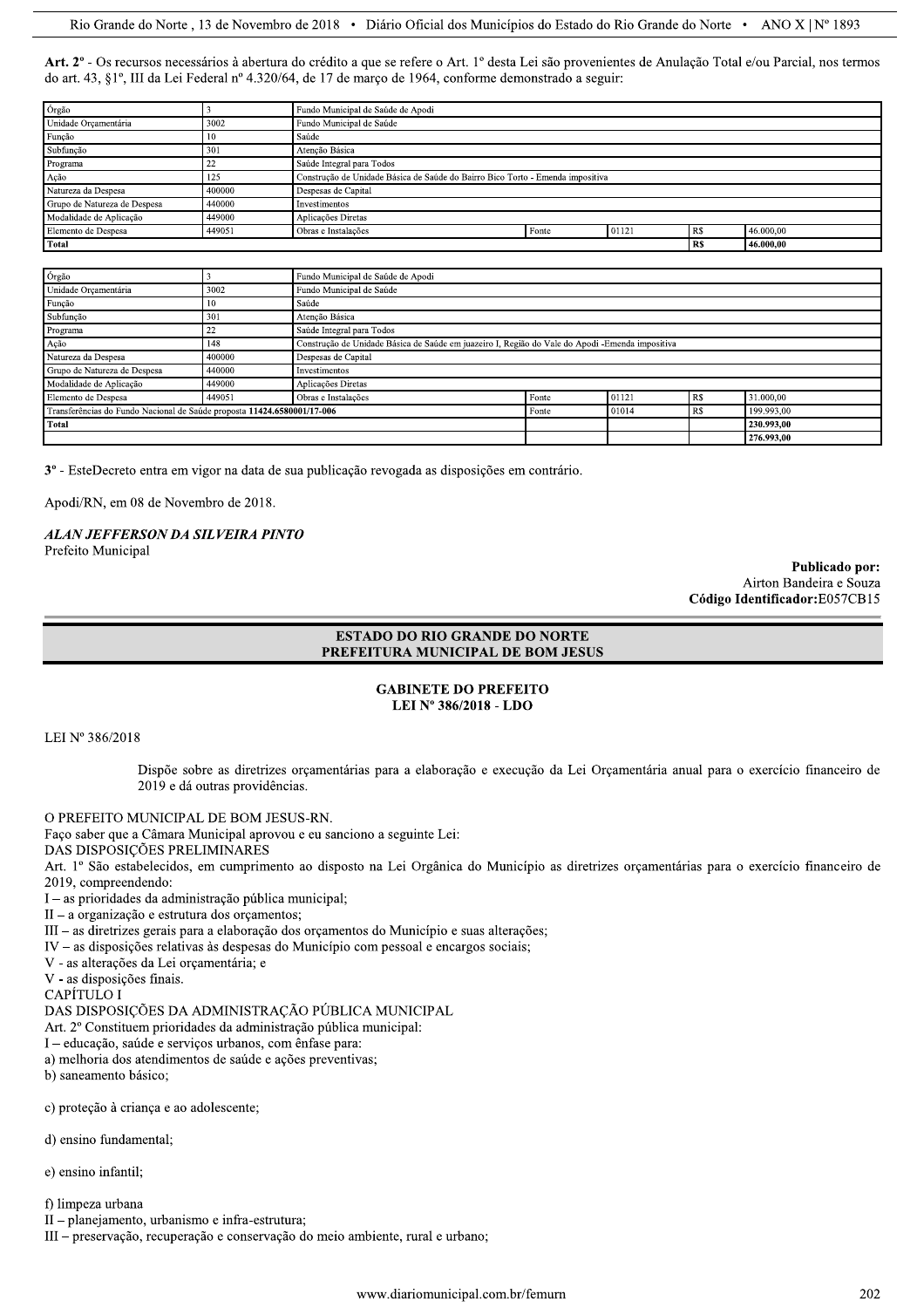Art. 2° - Os recursos necessários à abertura do crédito a que se refere o Art. 1° desta Lei são provenientes de Anulação Total e/ou Parcial, nos termos do art. 43, §1°, III da Lei Federal nº 4.320/64, de 17 de março de 1964, conforme demonstrado a seguir:

| Órgão                        |        | Fundo Municipal de Saúde de Apodi                                              |                                          |  |           |           |  |
|------------------------------|--------|--------------------------------------------------------------------------------|------------------------------------------|--|-----------|-----------|--|
| Unidade Orçamentária         | 3002   | Fundo Municipal de Saúde                                                       |                                          |  |           |           |  |
| Função                       |        | Saúde                                                                          |                                          |  |           |           |  |
| Subfunção                    | 301    | Atenção Básica                                                                 |                                          |  |           |           |  |
| Programa                     |        | Saúde Integral para Todos                                                      |                                          |  |           |           |  |
| Ação                         | 125    | Construção de Unidade Básica de Saúde do Bairro Bico Torto - Emenda impositiva |                                          |  |           |           |  |
| Natureza da Despesa          | 400000 | Despesas de Capital                                                            |                                          |  |           |           |  |
| Grupo de Natureza de Despesa | 440000 | Investimentos                                                                  |                                          |  |           |           |  |
| Modalidade de Aplicação      | 449000 | Aplicações Diretas                                                             |                                          |  |           |           |  |
| Elemento de Despesa          | 449051 | Obras e Instalações                                                            | 46.000,00<br><b>RS</b><br>01121<br>Fonte |  |           |           |  |
| Total                        |        |                                                                                |                                          |  | <b>RS</b> | 46.000.00 |  |

| Órgão                                                                   |        | Fundo Municipal de Saúde de Apodi                                                                |       |       |           |            |  |  |
|-------------------------------------------------------------------------|--------|--------------------------------------------------------------------------------------------------|-------|-------|-----------|------------|--|--|
| Unidade Orçamentária                                                    | 3002   | Fundo Municipal de Saúde                                                                         |       |       |           |            |  |  |
| Função                                                                  | 10     | Saúde                                                                                            |       |       |           |            |  |  |
| Subfunção                                                               | 301    | Atenção Básica                                                                                   |       |       |           |            |  |  |
| Programa                                                                | 22     | Saúde Integral para Todos                                                                        |       |       |           |            |  |  |
| Ação                                                                    | 148    | Construção de Unidade Básica de Saúde em juazeiro I, Região do Vale do Apodi - Emenda impositiva |       |       |           |            |  |  |
| Natureza da Despesa                                                     | 400000 | Despesas de Capital                                                                              |       |       |           |            |  |  |
| Grupo de Natureza de Despesa                                            | 440000 | Investimentos                                                                                    |       |       |           |            |  |  |
| Modalidade de Aplicação                                                 | 449000 | Aplicações Diretas                                                                               |       |       |           |            |  |  |
| Elemento de Despesa                                                     | 449051 | Obras e Instalações                                                                              | Fonte | 01121 | <b>RS</b> | 31.000,00  |  |  |
| Transferências do Fundo Nacional de Saúde proposta 11424.6580001/17-006 |        |                                                                                                  | Fonte | 01014 | <b>RS</b> | 199.993.00 |  |  |
| Total                                                                   |        | 230.993.00                                                                                       |       |       |           |            |  |  |
|                                                                         |        |                                                                                                  |       |       |           | 276.993.00 |  |  |

 $3^{\circ}$  - EsteDecreto entra em vigor na data de sua publicação revogada as disposições em contrário.

Apodi/RN, em 08 de Novembro de 2018.

# **ALAN JEFFERSON DA SILVEIRA PINTO**

Prefeito Municipal

Publicado por: Airton Bandeira e Souza Código Identificador:E057CB15

## **ESTADO DO RIO GRANDE DO NORTE** PREFEITURA MUNICIPAL DE BOM JESUS

## **GABINETE DO PREFEITO** LEI Nº 386/2018 - LDO

LEI Nº 386/2018

Dispõe sobre as diretrizes orçamentárias para a elaboração e execução da Lei Orçamentária anual para o exercício financeiro de 2019 e dá outras providências.

O PREFEITO MUNICIPAL DE BOM JESUS-RN.

Faço saber que a Câmara Municipal aprovou e eu sanciono a seguinte Lei:

DAS DISPOSIÇÕES PRELIMINARES

Art. 1º São estabelecidos, em cumprimento ao disposto na Lei Orgânica do Município as diretrizes orçamentárias para o exercício financeiro de 2019. compreendendo:

I – as prioridades da administração pública municipal;

 $II - a$  organização e estrutura dos orgamentos;

III – as diretrizes gerais para a elaboração dos orçamentos do Município e suas alterações;

 $IV -$  as disposições relativas às despesas do Município com pessoal e encargos sociais;

V - as alterações da Lei orçamentária; e

V - as disposições finais.

CAPÍTULO I

DAS DISPOSIÇÕES DA ADMINISTRAÇÃO PÚBLICA MUNICIPAL

Art. 2º Constituem prioridades da administração pública municipal:

I - educação, saúde e serviços urbanos, com ênfase para:

a) melhoria dos atendimentos de saúde e ações preventivas;

b) saneamento básico;

c) proteção à criança e ao adolescente;

d) ensino fundamental;

e) ensino infantil;

f) limpeza urbana

II - planejamento, urbanismo e infra-estrutura;

III - preservação, recuperação e conservação do meio ambiente, rural e urbano;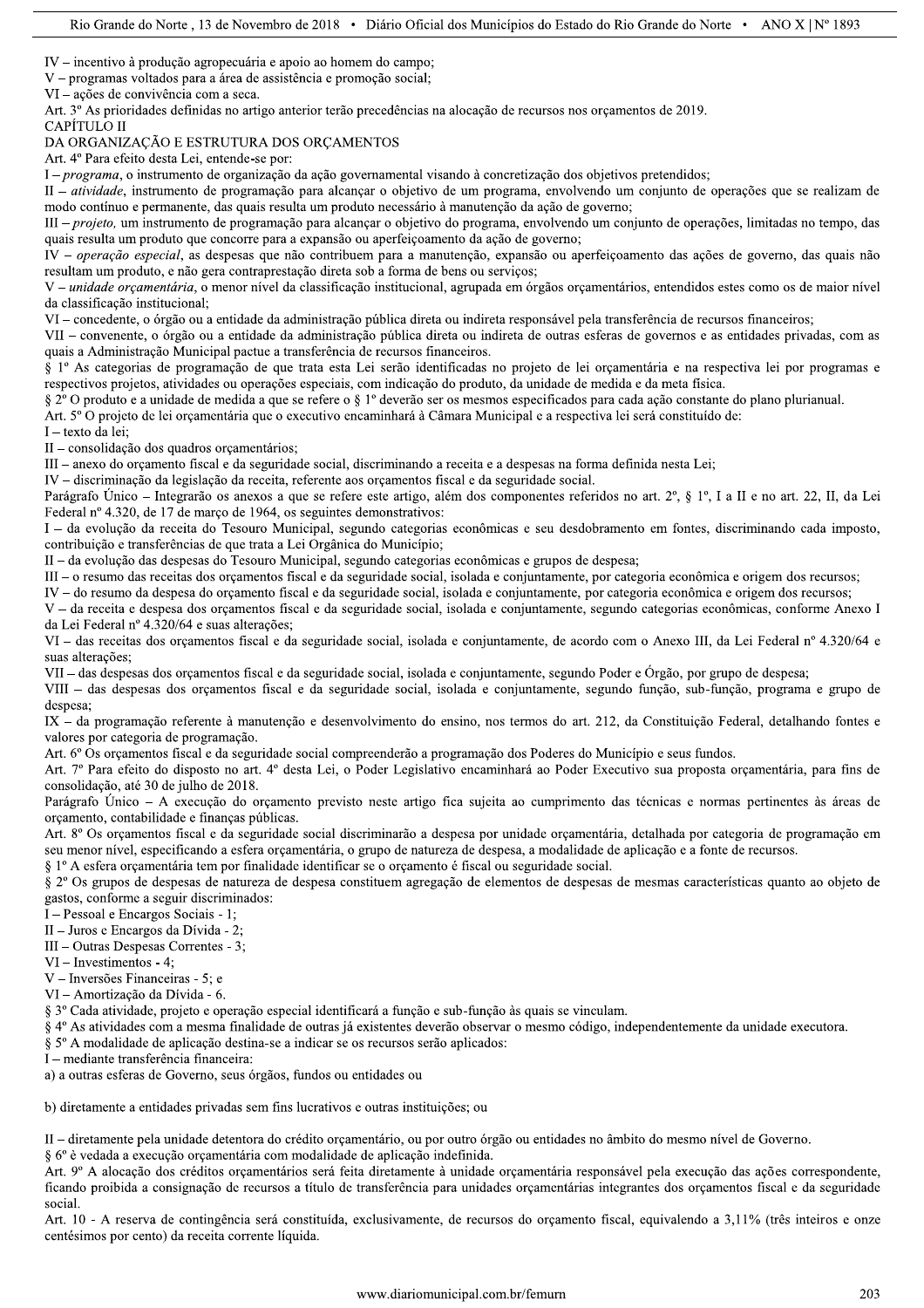$IV$  – incentivo à produção agropecuária e apoio ao homem do campo;

V - programas voltados para a área de assistência e promoção social;

 $VI - ações de convivência com a seca.$ 

Art. 3º As prioridades definidas no artigo anterior terão precedências na alocação de recursos nos orçamentos de 2019.

#### CAPÍTULO II

#### DA ORGANIZAÇÃO E ESTRUTURA DOS ORÇAMENTOS

Art. 4º Para efeito desta Lei, entende-se por:

I – programa, o instrumento de organização da ação governamental visando à concretização dos objetivos pretendidos;

II – *atividade*, instrumento de programação para alcançar o objetivo de um programa, envolvendo um conjunto de operações que se realizam de modo contínuo e permanente, das quais resulta um produto necessário à manutenção da ação de governo;

III – projeto, um instrumento de programação para alcançar o objetivo do programa, envolvendo um conjunto de operações, limitadas no tempo, das quais resulta um produto que concorre para a expansão ou aperfeicoamento da ação de governo;

IV - operação especial, as despesas que não contribuem para a manutenção, expansão ou aperfeiçoamento das ações de governo, das quais não resultam um produto, e não gera contraprestação direta sob a forma de bens ou servicos:

V - unidade orçamentária, o menor nível da classificação institucional, agrupada em órgãos orçamentários, entendidos estes como os de maior nível da classificação institucional:

VI – concedente, o órgão ou a entidade da administração pública direta ou indireta responsável pela transferência de recursos financeiros:

VII – convenente, o órgão ou a entidade da administração pública direta ou indireta de outras esferas de governos e as entidades privadas, com as quais a Administração Municipal pactue a transferência de recursos financeiros.

§ 1º As categorias de programação de que trata esta Lei serão identificadas no projeto de lei orcamentária e na respectiva lei por programas e respectivos projetos, atividades ou operações especiais, com indicação do produto, da unidade de medida e da meta física.

§ 2º O produto e a unidade de medida a que se refere o § 1º deverão ser os mesmos especificados para cada ação constante do plano plurianual.

Art. 5° O projeto de lei orçamentária que o executivo encaminhará à Câmara Municipal e a respectiva lei será constituído de:

I - texto da lei;

II - consolidação dos quadros orçamentários;

III – anexo do orcamento fiscal e da seguridade social, discriminando a receita e a despesas na forma definida nesta Lei;

IV - discriminação da legislação da receita, referente aos orçamentos fiscal e da seguridade social.

Parágrafo Único – Integrarão os anexos a que se refere este artigo, além dos componentes referidos no art. 2°, § 1°, I a II e no art. 22, II, da Lei Federal nº 4.320, de 17 de março de 1964, os seguintes demonstrativos:

I – da evolução da receita do Tesouro Municipal, segundo categorias econômicas e seu desdobramento em fontes, discriminando cada imposto, contribuição e transferências de que trata a Lei Orgânica do Município;

II - da evolução das despesas do Tesouro Municipal, segundo categorias econômicas e grupos de despesa;

III – o resumo das receitas dos orgamentos fiscal e da seguridade social, isolada e conjuntamente, por categoria econômica e origem dos recursos;

IV – do resumo da despesa do orçamento fiscal e da seguridade social, isolada e conjuntamente, por categoria econômica e origem dos recursos;

V - da receita e despesa dos orçamentos fiscal e da seguridade social, isolada e conjuntamente, segundo categorias econômicas, conforme Anexo I da Lei Federal nº 4.320/64 e suas alterações:

VI - das receitas dos orçamentos fiscal e da seguridade social, isolada e conjuntamente, de acordo com o Anexo III, da Lei Federal nº 4.320/64 e suas alterações:

VII - das despesas dos orçamentos fiscal e da seguridade social, isolada e conjuntamente, segundo Poder e Órgão, por grupo de despesa;

VIII - das despesas dos orçamentos fiscal e da seguridade social, isolada e conjuntamente, segundo função, sub-função, programa e grupo de despesa;

IX - da programação referente à manutenção e desenvolvimento do ensino, nos termos do art. 212, da Constituição Federal, detalhando fontes e valores por categoria de programação.

Art. 6º Os orçamentos fiscal e da seguridade social compreenderão a programação dos Poderes do Município e seus fundos.

Art. 7º Para efeito do disposto no art. 4º desta Lei, o Poder Legislativo encaminhará ao Poder Executivo sua proposta orçamentária, para fins de consolidação, até 30 de julho de 2018.

Parágrafo Único – A execução do orçamento previsto neste artigo fica sujeita ao cumprimento das técnicas e normas pertinentes às áreas de orçamento, contabilidade e finanças públicas.

Art. 8º Os orçamentos fiscal e da seguridade social discriminarão a despesa por unidade orçamentária, detalhada por categoria de programação em seu menor nível, especificando a esfera orçamentária, o grupo de natureza de despesa, a modalidade de aplicação e a fonte de recursos.

§ 1° A esfera orçamentária tem por finalidade identificar se o orçamento é fiscal ou seguridade social.

§ 2° Os grupos de despesas de natureza de despesa constituem agregação de elementos de despesas de mesmas características quanto ao objeto de gastos, conforme a seguir discriminados:

I - Pessoal e Encargos Sociais - 1;

 $II - Juros$  e Encargos da Dívida - 2:

III – Outras Despesas Correntes - 3:

 $VI$  – Investimentos - 4:

V - Inversões Financeiras - 5; e

VI - Amortização da Dívida - 6.

§ 3º Cada atividade, projeto e operação especial identificará a função e sub-função às quais se vinculam.

§ 4º As atividades com a mesma finalidade de outras já existentes deverão observar o mesmo código, independentemente da unidade executora.

§ 5° A modalidade de aplicação destina-se a indicar se os recursos serão aplicados:

I - mediante transferência financeira:

a) a outras esferas de Governo, seus órgãos, fundos ou entidades ou

b) diretamente a entidades privadas sem fins lucrativos e outras instituições; ou

II – diretamente pela unidade detentora do crédito orcamentário, ou por outro órgão ou entidades no âmbito do mesmo nível de Governo.

§ 6º è vedada a execução orçamentária com modalidade de aplicação indefinida.

Art. 9º A alocação dos créditos orçamentários será feita diretamente à unidade orçamentária responsável pela execução das ações correspondente, ficando proibida a consignação de recursos a título de transferência para unidades orçamentárias integrantes dos orçamentos fiscal e da seguridade social.

Art. 10 - A reserva de contingência será constituída, exclusivamente, de recursos do orçamento fiscal, equivalendo a 3,11% (três inteiros e onze centésimos por cento) da receita corrente líquida.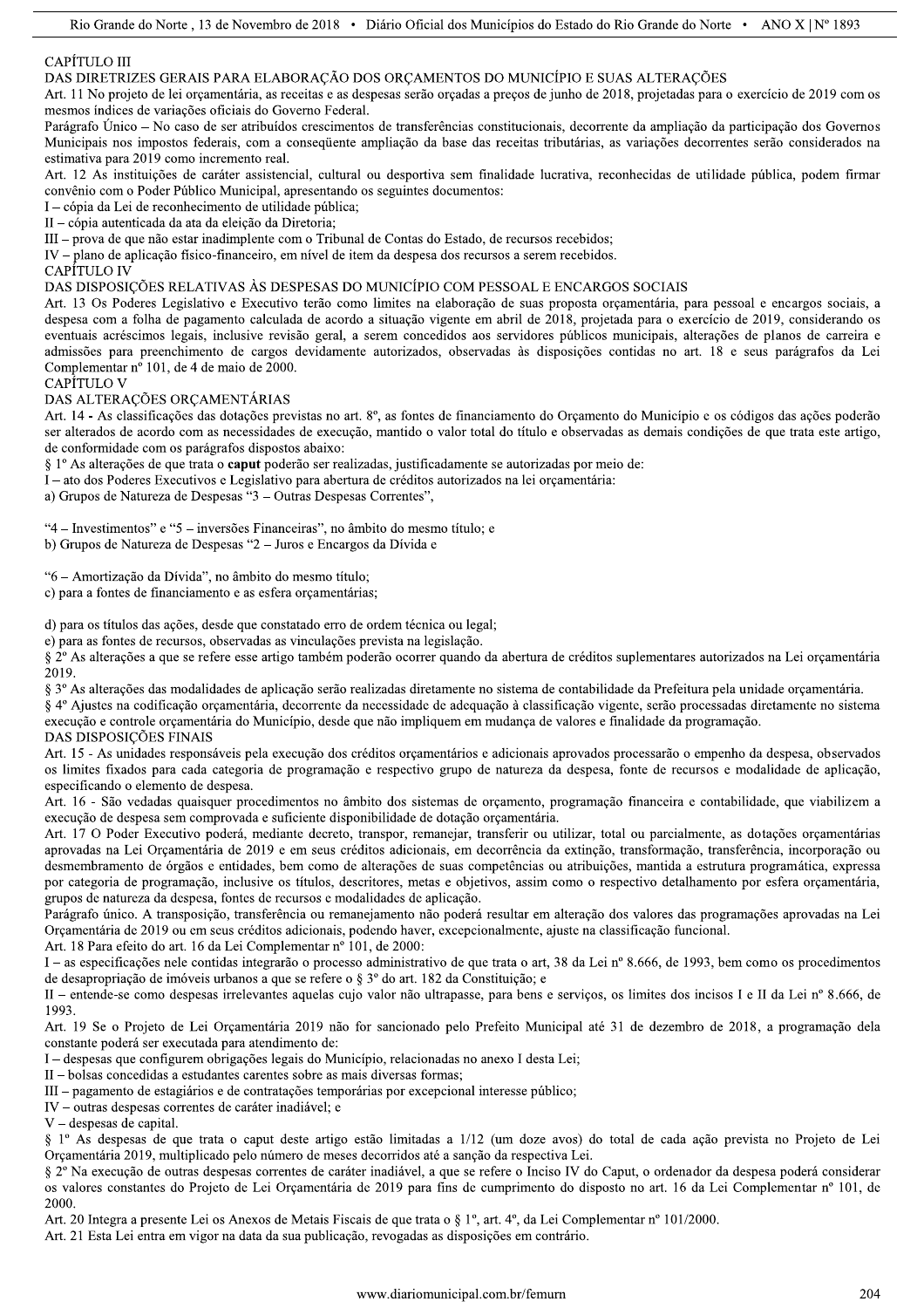# CAPÍTULO III

DAS DIRETRIZES GERAIS PARA ELABORAÇÃO DOS ORÇAMENTOS DO MUNICÍPIO E SUAS ALTERAÇÕES

Art. 11 No projeto de lei orçamentária, as receitas e as despesas serão orçadas a preços de junho de 2018, projetadas para o exercício de 2019 com os mesmos índices de variações oficiais do Governo Federal.

Parágrafo Único – No caso de ser atribuídos crescimentos de transferências constitucionais, decorrente da ampliação da participação dos Governos Municipais nos impostos federais, com a consequente ampliação da base das receitas tributárias, as variações decorrentes serão considerados na estimativa para 2019 como incremento real.

Art. 12 As instituições de caráter assistencial, cultural ou desportiva sem finalidade lucrativa, reconhecidas de utilidade pública, podem firmar convênio com o Poder Público Municipal, apresentando os seguintes documentos:

I – cópia da Lei de reconhecimento de utilidade pública;

II - cópia autenticada da ata da eleição da Diretoria;

III - prova de que não estar inadimplente com o Tribunal de Contas do Estado, de recursos recebidos;

IV - plano de aplicação físico-financeiro, em nível de item da despesa dos recursos a serem recebidos.

CAPÍTULO IV

DAS DISPOSIÇÕES RELATIVAS ÀS DESPESAS DO MUNICÍPIO COM PESSOAL E ENCARGOS SOCIAIS

Art. 13 Os Poderes Legislativo e Executivo terão como limites na elaboração de suas proposta orçamentária, para pessoal e encargos sociais, a despesa com a folha de pagamento calculada de acordo a situação vigente em abril de 2018, projetada para o exercício de 2019, considerando os eventuais acréscimos legais, inclusive revisão geral, a serem concedidos aos servidores públicos municipais, alterações de planos de carreira e admissões para preenchimento de cargos devidamente autorizados, observadas às disposições contidas no art. 18 e seus parágrafos da Lei Complementar nº 101, de 4 de maio de 2000.

CAPÍTULO V

## DAS ALTERAÇÕES ORÇAMENTÁRIAS

Art. 14 - As classificações das dotações previstas no art. 8°, as fontes de financiamento do Orçamento do Município e os códigos das ações poderão ser alterados de acordo com as necessidades de execução, mantido o valor total do título e observadas as demais condições de que trata este artigo, de conformidade com os parágrafos dispostos abaixo:

§ 1º As alterações de que trata o caput poderão ser realizadas, justificadamente se autorizadas por meio de:

I - ato dos Poderes Executivos e Legislativo para abertura de créditos autorizados na lei orçamentária:

a) Grupos de Natureza de Despesas "3 - Outras Despesas Correntes",

"4 – Investimentos" e "5 – inversões Financeiras", no âmbito do mesmo título; e

b) Grupos de Natureza de Despesas "2 - Juros e Encargos da Dívida e

"6 - Amortização da Dívida", no âmbito do mesmo título;

c) para a fontes de financiamento e as esfera orçamentárias;

d) para os títulos das ações, desde que constatado erro de ordem técnica ou legal;

e) para as fontes de recursos, observadas as vinculações prevista na legislação.

§ 2° As alterações a que se refere esse artigo também poderão ocorrer quando da abertura de créditos suplementares autorizados na Lei orçamentária 2019.

§ 3º As alterações das modalidades de aplicação serão realizadas diretamente no sistema de contabilidade da Prefeitura pela unidade orçamentária.

§ 4º Ajustes na codificação orçamentária, decorrente da necessidade de adequação à classificação vigente, serão processadas diretamente no sistema execução e controle orçamentária do Município, desde que não impliquem em mudança de valores e finalidade da programação. DAS DISPOSIÇÕES FINAIS

Art. 15 - As unidades responsáveis pela execução dos créditos orçamentários e adicionais aprovados processarão o empenho da despesa, observados os limites fixados para cada categoria de programação e respectivo grupo de natureza da despesa, fonte de recursos e modalidade de aplicação, especificando o elemento de despesa.

Art. 16 - São vedadas quaisquer procedimentos no âmbito dos sistemas de orçamento, programação financeira e contabilidade, que viabilizem a execução de despesa sem comprovada e suficiente disponibilidade de dotação orçamentária.

Art. 17 O Poder Executivo poderá, mediante decreto, transpor, remaneiar, transferir ou utilizar, total ou parcialmente, as dotações orcamentárias aprovadas na Lei Orçamentária de 2019 e em seus créditos adicionais, em decorrência da extinção, transformação, transferência, incorporação ou desmembramento de órgãos e entidades, bem como de alterações de suas competências ou atribuições, mantida a estrutura programática, expressa por categoria de programação, inclusive os títulos, descritores, metas e objetivos, assim como o respectivo detalhamento por esfera orcamentária, grupos de natureza da despesa, fontes de recursos e modalidades de aplicação.

Parágrafo único. A transposição, transferência ou remanejamento não poderá resultar em alteração dos valores das programações aprovadas na Lei Orçamentária de 2019 ou em seus créditos adicionais, podendo haver, excepcionalmente, ajuste na classificação funcional.

Art. 18 Para efeito do art. 16 da Lei Complementar nº 101, de 2000:

I - as especificações nele contidas integrarão o processo administrativo de que trata o art, 38 da Lei nº 8.666, de 1993, bem como os procedimentos de desapropriação de imóveis urbanos a que se refere o § 3<sup>°</sup> do art. 182 da Constituição; e

II - entende-se como despesas irrelevantes aquelas cujo valor não ultrapasse, para bens e serviços, os limites dos incisos I e II da Lei nº 8.666, de 1993.

Art. 19 Se o Projeto de Lei Orçamentária 2019 não for sancionado pelo Prefeito Municipal até 31 de dezembro de 2018, a programação dela constante poderá ser executada para atendimento de:

I – despesas que configurem obrigações legais do Município, relacionadas no anexo I desta Lei;

II - bolsas concedidas a estudantes carentes sobre as mais diversas formas;

III – pagamento de estagiários e de contratações temporárias por excepcional interesse público;

IV - outras despesas correntes de caráter inadiável; e

V - despesas de capital.

§ 1<sup>o</sup> As despesas de que trata o caput deste artigo estão limitadas a 1/12 (um doze avos) do total de cada ação prevista no Projeto de Lei Orçamentária 2019, multiplicado pelo número de meses decorridos até a sanção da respectiva Lei.

§ 2º Na execução de outras despesas correntes de caráter inadiável, a que se refere o Inciso IV do Caput, o ordenador da despesa poderá considerar os valores constantes do Projeto de Lei Orçamentária de 2019 para fins de cumprimento do disposto no art. 16 da Lei Complementar nº 101, de 2000

Art. 20 Integra a presente Lei os Anexos de Metais Fiscais de que trata o § 1°, art. 4°, da Lei Complementar n° 101/2000.

Art. 21 Esta Lei entra em vigor na data da sua publicação, revogadas as disposições em contrário.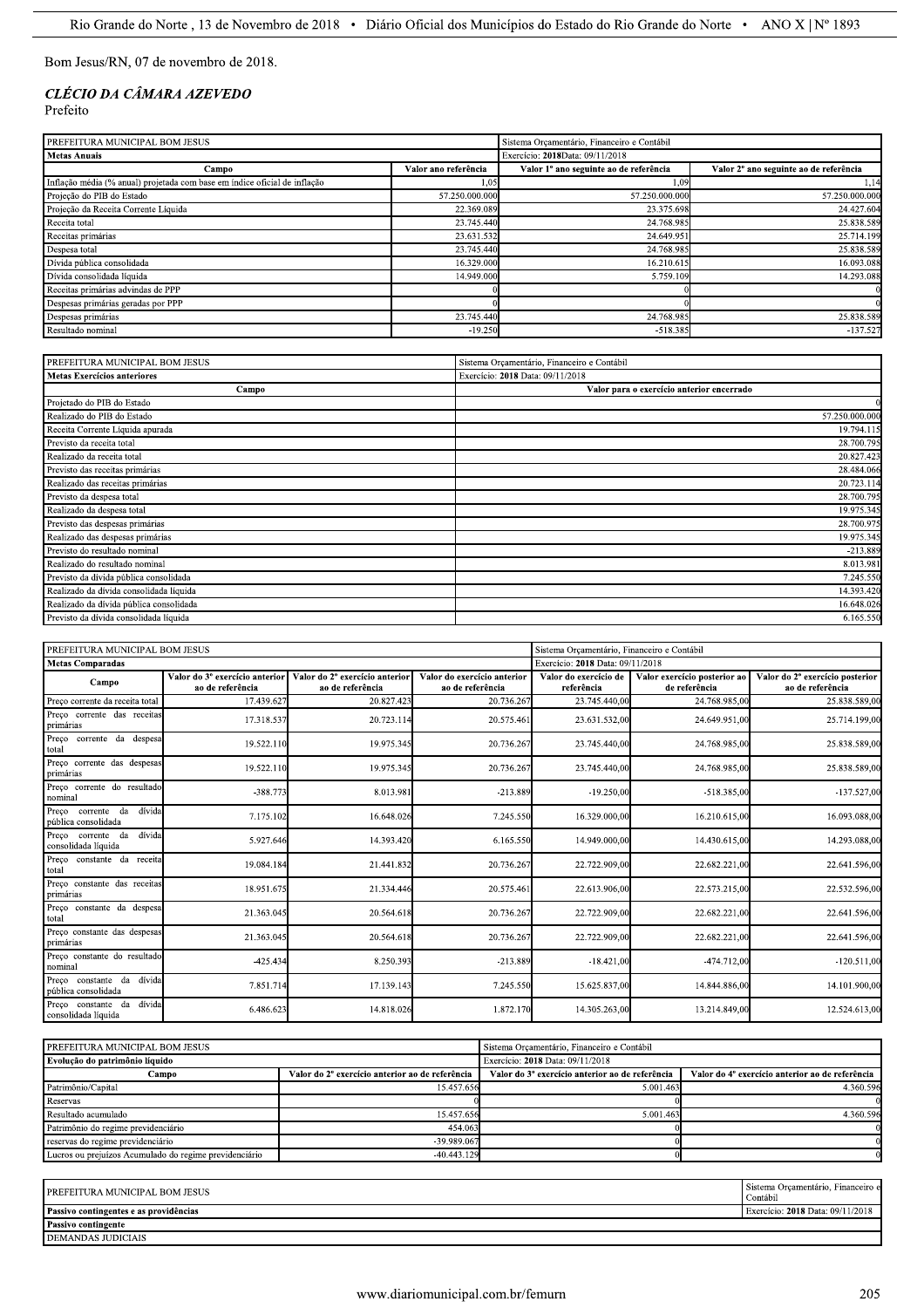Bom Jesus/RN, 07 de novembro de 2018.

# CLÉCIO DA CÂMARA AZEVEDO Prefeito

| PREFEITURA MUNICIPAL BOM JESUS                                            | Sistema Orcamentário, Financeiro e Contábil |                                        |                                        |
|---------------------------------------------------------------------------|---------------------------------------------|----------------------------------------|----------------------------------------|
| <b>Metas Anuais</b>                                                       | Exercício: 2018Data: 09/11/2018             |                                        |                                        |
| Campo                                                                     | Valor ano referência                        | Valor 1º ano seguinte ao de referência | Valor 2º ano seguinte ao de referência |
| Inflação média (% anual) projetada com base em índice oficial de inflação | 1.05                                        | 1.09                                   | 1,14                                   |
| Projeção do PIB do Estado                                                 | 57.250.000.000                              | 57.250.000.000                         | 57.250.000.000                         |
| Projeção da Receita Corrente Líquida                                      | 22.369.089                                  | 23.375.698                             | 24.427.604                             |
| Receita total                                                             | 23.745.440                                  | 24.768.985                             | 25.838.589                             |
| Receitas primárias                                                        | 23.631.532                                  | 24.649.951                             | 25.714.199                             |
| Despesa total                                                             | 23.745.440                                  | 24.768.985                             | 25.838.589                             |
| Dívida pública consolidada                                                | 16.329.000                                  | 16.210.615                             | 16.093.088                             |
| Dívida consolidada líquida                                                | 14.949.000                                  | 5.759.109                              | 14.293.088                             |
| Receitas primárias advindas de PPP                                        |                                             |                                        |                                        |
| Despesas primárias geradas por PPP                                        |                                             |                                        |                                        |
| Despesas primárias                                                        | 23.745.440                                  | 24.768.985                             | 25.838.589                             |
| Resultado nominal                                                         | $-19.250$                                   | $-518.385$                             | $-137.527$                             |

| PREFEITURA MUNICIPAL BOM JESUS          | Sistema Orçamentário, Financeiro e Contábil |
|-----------------------------------------|---------------------------------------------|
| <b>Metas Exercícios anteriores</b>      | Exercício: 2018 Data: 09/11/2018            |
| Campo                                   | Valor para o exercício anterior encerrado   |
| Projetado do PIB do Estado              |                                             |
| Realizado do PIB do Estado              | 57.250.000.000                              |
| Receita Corrente Líquida apurada        | 19.794.115                                  |
| Previsto da receita total               | 28.700.795                                  |
| Realizado da receita total              | 20.827.423                                  |
| Previsto das receitas primárias         | 28.484.066                                  |
| Realizado das receitas primárias        | 20.723.114                                  |
| Previsto da despesa total               | 28.700.795                                  |
| Realizado da despesa total              | 19.975.345                                  |
| Previsto das despesas primárias         | 28.700.975                                  |
| Realizado das despesas primárias        | 19.975.345                                  |
| Previsto do resultado nominal           | $-213.889$                                  |
| Realizado do resultado nominal          | 8.013.981                                   |
| Previsto da dívida pública consolidada  | 7.245.550                                   |
| Realizado da dívida consolidada líquida | 14.393.420                                  |
| Realizado da dívida pública consolidada | 16.648.026                                  |
| Previsto da dívida consolidada líquida  | 6.165.550                                   |

| PREFEITURA MUNICIPAL BOM JESUS                      |                                                    |                                                    |                                                 | Sistema Orçamentário, Financeiro e Contábil |                                               |                                                     |
|-----------------------------------------------------|----------------------------------------------------|----------------------------------------------------|-------------------------------------------------|---------------------------------------------|-----------------------------------------------|-----------------------------------------------------|
| <b>Metas Comparadas</b>                             |                                                    |                                                    |                                                 | Exercício: 2018 Data: 09/11/2018            |                                               |                                                     |
| Campo                                               | Valor do 3º exercício anterior<br>ao de referência | Valor do 2º exercício anterior<br>ao de referência | Valor do exercício anterior<br>ao de referência | Valor do exercício de<br>referência         | Valor exercício posterior ao<br>de referência | Valor do 2º exercício posterior<br>ao de referência |
| Preço corrente da receita total                     | 17.439.627                                         | 20.827.423                                         | 20.736.267                                      | 23.745.440.00                               | 24.768.985.00                                 | 25.838.589,00                                       |
| Preco corrente das receitas<br>primárias            | 17.318.537                                         | 20.723.114                                         | 20.575.461                                      | 23.631.532,00                               | 24.649.951,00                                 | 25.714.199,00                                       |
| Preço corrente da despesa<br>total                  | 19.522.110                                         | 19.975.345                                         | 20.736.267                                      | 23.745.440,00                               | 24.768.985,00                                 | 25.838.589,00                                       |
| Preço corrente das despesas<br>primárias            | 19.522.110                                         | 19.975.345                                         | 20.736.267                                      | 23.745.440,00                               | 24.768.985,00                                 | 25.838.589,00                                       |
| Preço corrente do resultado<br>nominal              | $-388.773$                                         | 8.013.981                                          | $-213.889$                                      | $-19.250,00$                                | $-518.385.00$                                 | $-137.527.00$                                       |
| Preco corrente da<br>dívida<br>pública consolidada  | 7.175.102                                          | 16.648.026                                         | 7.245.550                                       | 16.329.000,00                               | 16.210.615.00                                 | 16.093.088,00                                       |
| Preco corrente da<br>dívida<br>consolidada líquida  | 5.927.646                                          | 14.393.420                                         | 6.165.550                                       | 14.949.000,00                               | 14.430.615,00                                 | 14.293.088,00                                       |
| Preço constante da receita<br>total                 | 19.084.184                                         | 21.441.832                                         | 20.736.267                                      | 22.722.909,00                               | 22.682.221,00                                 | 22.641.596,00                                       |
| Preco constante das receitas<br>primárias           | 18.951.675                                         | 21.334.446                                         | 20.575.461                                      | 22.613.906,00                               | 22.573.215,00                                 | 22.532.596,00                                       |
| Preço constante da despesa<br>total                 | 21.363.045                                         | 20.564.618                                         | 20.736.267                                      | 22.722.909,00                               | 22.682.221,00                                 | 22.641.596,00                                       |
| Preço constante das despesas<br>primárias           | 21.363.045                                         | 20.564.618                                         | 20.736.267                                      | 22.722.909,00                               | 22.682.221,00                                 | 22.641.596,00                                       |
| Preço constante do resultado<br>nominal             | $-425.434$                                         | 8.250.393                                          | $-213.889$                                      | $-18.421,00$                                | -474.712,00                                   | $-120.511,00$                                       |
| Preco constante da dívida<br>pública consolidada    | 7.851.714                                          | 17.139.143                                         | 7.245.550                                       | 15.625.837,00                               | 14.844.886,00                                 | 14.101.900,00                                       |
| dívida<br>Preço constante da<br>consolidada líquida | 6.486.623                                          | 14.818.026                                         | 1.872.170                                       | 14.305.263,00                               | 13.214.849,00                                 | 12.524.613,00                                       |

| PREFEITURA MUNICIPAL BOM JESUS                         |                                                 | Sistema Orcamentário, Financeiro e Contábil     |                                                 |  |
|--------------------------------------------------------|-------------------------------------------------|-------------------------------------------------|-------------------------------------------------|--|
| Evolução do patrimônio líquido                         |                                                 | Exercício: 2018 Data: 09/11/2018                |                                                 |  |
| Campo                                                  | Valor do 2º exercício anterior ao de referência | Valor do 3º exercício anterior ao de referência | Valor do 4º exercício anterior ao de referência |  |
| Patrimônio/Capital                                     | 15.457.656                                      | 5.001.463                                       | 4.360.596                                       |  |
| Reservas                                               |                                                 |                                                 |                                                 |  |
| Resultado acumulado                                    | 15.457.656                                      | 5.001.463                                       | 4.360.596                                       |  |
| Patrimônio do regime previdenciário                    | 454.063                                         |                                                 |                                                 |  |
| reservas do regime previdenciário                      | -39.989.067                                     |                                                 |                                                 |  |
| Lucros ou prejuízos Acumulado do regime previdenciário | $-40.443.129$                                   |                                                 |                                                 |  |

| <b>PREFEITURA MUNICIPAL BOM JESUS</b>  | Sistema Orcamentário, Financeiro e<br>Contábil |
|----------------------------------------|------------------------------------------------|
| Passivo contingentes e as providências | Exercício: 2018 Data: 09/11/2018               |
| <b>Passivo contingente</b>             |                                                |
| DEMANDAS JUDICIAIS                     |                                                |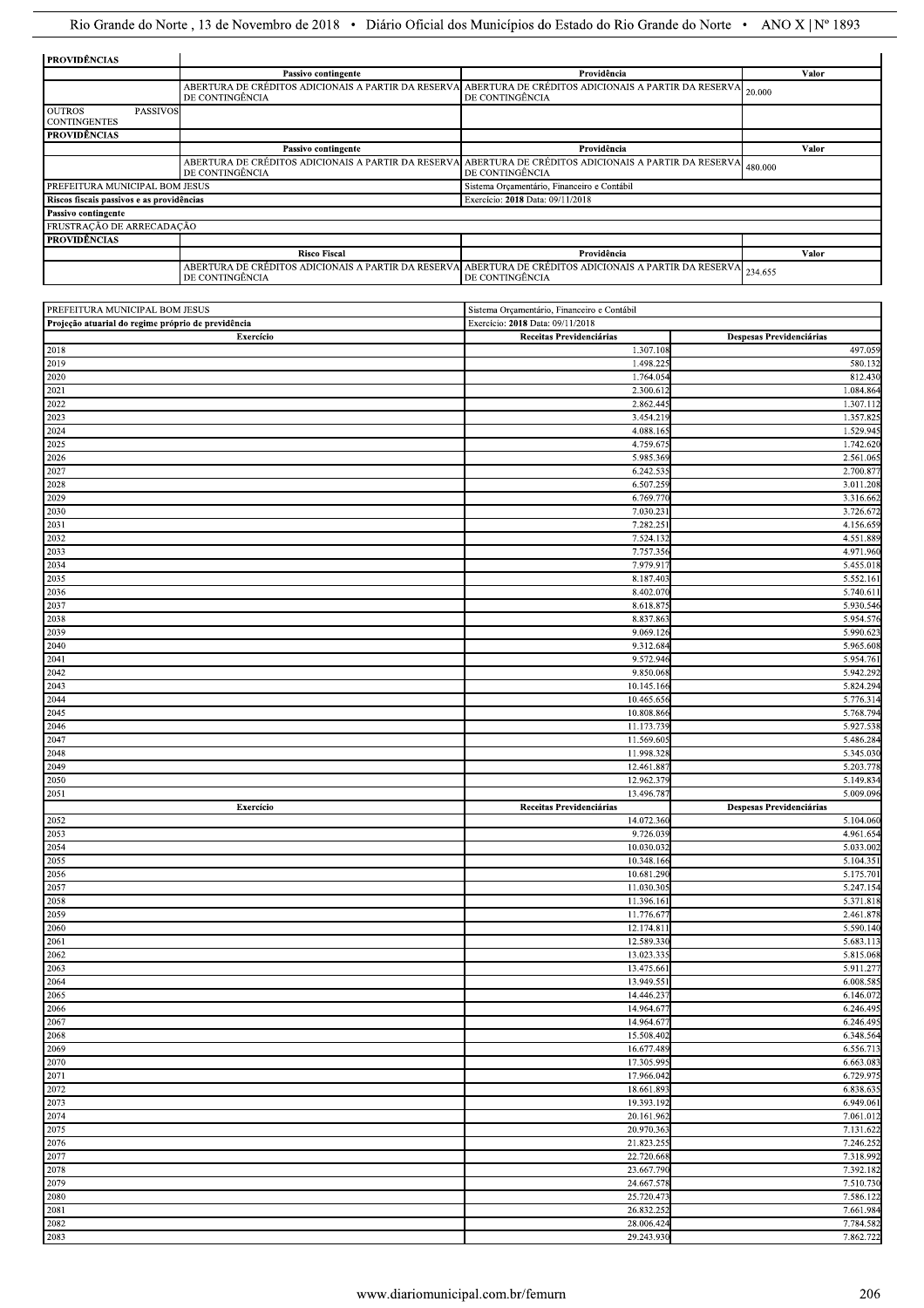| <b>PROVIDÊNCIAS</b>                                     |                     |                                                                                                                                   |         |
|---------------------------------------------------------|---------------------|-----------------------------------------------------------------------------------------------------------------------------------|---------|
|                                                         | Passivo contingente | Providência                                                                                                                       | Valor   |
|                                                         | DE CONTINGÊNCIA     | ABERTURA DE CRÉDITOS ADICIONAIS A PARTIR DA RESERVA ABERTURA DE CRÉDITOS ADICIONAIS A PARTIR DA RESERVA 20.000<br>DE CONTINGÊNCIA |         |
| <b>OUTROS</b><br><b>PASSIVOS</b><br><b>CONTINGENTES</b> |                     |                                                                                                                                   |         |
| <b>PROVIDÊNCIAS</b>                                     |                     |                                                                                                                                   |         |
|                                                         | Passivo contingente | Providência                                                                                                                       | Valor   |
|                                                         | DE CONTINGÊNCIA     | ABERTURA DE CRÉDITOS ADICIONAIS A PARTIR DA RESERVA ABERTURA DE CRÉDITOS ADICIONAIS A PARTIR DA RESERVA<br>DE CONTINGÊNCIA        | 480.000 |
| PREFEITURA MUNICIPAL BOM JESUS                          |                     | Sistema Orçamentário, Financeiro e Contábil                                                                                       |         |
| Riscos fiscais passivos e as providências               |                     | Exercício: 2018 Data: 09/11/2018                                                                                                  |         |
| Passivo contingente                                     |                     |                                                                                                                                   |         |
| FRUSTRAÇÃO DE ARRECADAÇÃO                               |                     |                                                                                                                                   |         |
| <b>PROVIDÊNCIAS</b>                                     |                     |                                                                                                                                   |         |
|                                                         | <b>Risco Fiscal</b> | Providência                                                                                                                       | Valor   |
|                                                         | DE CONTINGÊNCIA     | ABERTURA DE CRÉDITOS ADICIONAIS A PARTIR DA RESERVAL ABERTURA DE CRÉDITOS ADICIONAIS A PARTIR DA RESERVAL<br>DE CONTINGÊNCIA      | 234.655 |

| PREFEITURA MUNICIPAL BOM JESUS                     | Sistema Orçamentário, Financeiro e Contábil |                          |  |
|----------------------------------------------------|---------------------------------------------|--------------------------|--|
| Projeção atuarial do regime próprio de previdência | Exercício: 2018 Data: 09/11/2018            |                          |  |
| Exercício                                          | Receitas Previdenciárias                    | Despesas Previdenciárias |  |
| 2018                                               | 1.307.108                                   | 497.059                  |  |
| 2019                                               | 1.498.22:                                   | 580.132                  |  |
| 2020                                               | 1.764.054                                   | 812.430                  |  |
| 2021                                               | 2.300.612                                   | 1.084.864                |  |
| 2022                                               | 2.862.445                                   | 1.307.112                |  |
| 2023                                               | 3.454.219                                   | 1.357.82                 |  |
| 2024                                               | 4.088.16:                                   | 1.529.945                |  |
| 2025                                               | 4.759.67                                    | 1.742.620                |  |
| 2026<br>2027                                       | 5.985.369                                   | 2.561.06:                |  |
| 2028                                               | 6.242.535<br>6.507.259                      | 2.700.87                 |  |
| 2029                                               | 6.769.770                                   | 3.011.208<br>3.316.662   |  |
| 2030                                               | 7.030.23                                    | 3.726.67                 |  |
| 2031                                               | 7.282.25                                    | 4.156.659                |  |
| 2032                                               | 7.524.132                                   | 4.551.889                |  |
| 2033                                               | 7.757.356                                   | 4.971.960                |  |
| 2034                                               | 7.979.91                                    | 5.455.018                |  |
| 2035                                               | 8.187.403                                   | 5.552.161                |  |
| 2036                                               | 8.402.070                                   | 5.740.61                 |  |
| 2037                                               | 8.618.875                                   | 5.930.546                |  |
| 2038                                               | 8.837.86                                    | 5.954.576                |  |
| 2039                                               | 9.069.126                                   | 5.990.62                 |  |
| 2040                                               | 9.312.684                                   | 5.965.608                |  |
| 2041                                               | 9.572.946                                   | 5.954.761                |  |
| 2042                                               | 9.850.068                                   | 5.942.29                 |  |
| 2043                                               | 10.145.166                                  | 5.824.294                |  |
| 2044                                               | 10.465.656                                  | 5.776.314                |  |
| 2045                                               | 10.808.866                                  | 5.768.794                |  |
| 2046<br>2047                                       | 11.173.739<br>11.569.60                     | 5.927.538<br>5.486.284   |  |
| 2048                                               | 11.998.328                                  | 5.345.030                |  |
| 2049                                               | 12.461.88                                   | 5.203.778                |  |
|                                                    |                                             |                          |  |
|                                                    |                                             |                          |  |
| 2050                                               | 12.962.379                                  | 5.149.834<br>5.009.096   |  |
| 2051<br>Exercício                                  | 13.496.78<br>Receitas Previdenciárias       | Despesas Previdenciárias |  |
| 2052                                               | 14.072.360                                  | 5.104.060                |  |
| 2053                                               | 9.726.039                                   | 4.961.654                |  |
| 2054                                               | 10.030.032                                  | 5.033.002                |  |
| 2055                                               | 10.348.166                                  | 5.104.35                 |  |
| 2056                                               | 10.681.290                                  | 5.175.701                |  |
| 2057                                               | 11.030.305                                  | 5.247.15                 |  |
| 2058                                               | 11.396.161                                  | 5.371.818                |  |
| 2059                                               | 11.776.677                                  | 2.461.878                |  |
| 2060                                               | 12.174.811                                  | 5.590.140                |  |
| 2061                                               | 12.589.330                                  | 5.683.11                 |  |
| 2062                                               | 13.023.335                                  | 5.815.068                |  |
| 2063                                               | 13.475.66                                   | 5.911.27                 |  |
|                                                    | 13.949.55                                   | 6.008.585                |  |
|                                                    | 14.446.237<br>14.964.677                    | 6.146.072<br>6.246.495   |  |
| $\frac{2064}{2065}$<br>2067                        | 14.964.67                                   | 6.246.495                |  |
| 2068                                               | 15.508.402                                  | 6.348.564                |  |
| 2069                                               | 16.677.489                                  | 6.556.713                |  |
| 2070                                               | 17.305.995                                  | 6.663.083                |  |
| 2071                                               | 17.966.042                                  | 6.729.975                |  |
| 2072                                               | 18.661.893                                  | 6.838.635                |  |
| 2073                                               | 19.393.192                                  | 6.949.061                |  |
|                                                    | 20.161.962                                  | 7.061.012                |  |
| 2074<br>2075                                       | 20.970.363                                  | 7.131.622                |  |
| 2076                                               | 21.823.255                                  | 7.246.252                |  |
| 2077                                               | 22.720.668                                  | 7.318.992                |  |
| $\frac{2078}{ }$                                   | 23.667.790                                  | 7.392.182                |  |
| 2079                                               | 24.667.578                                  | 7.510.730                |  |
| 2080                                               | 25.720.473                                  | 7.586.122                |  |
| 2081<br>2082                                       | 26.832.252<br>28.006.424                    | 7.661.984<br>7.784.582   |  |